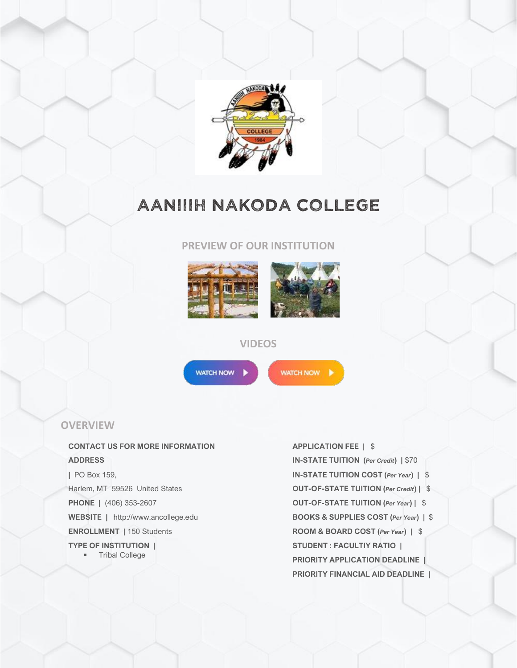

# AANIIIH NAKODA COLLEGE

### **PREVIEW OF OUR INSTITUTION**





#### **VIDEOS**

WATCH NOW |

WATCH NOW

### **OVERVIEW**

**CONTACT US FOR MORE INFORMATION ADDRESS |** PO Box 159, Harlem, MT 59526 United States **PHONE |** (406) 353-2607 **WEBSITE |** http://www.ancollege.edu **ENROLLMENT |** 150 Students **TYPE OF INSTITUTION |** ▪ Tribal College

**APPLICATION FEE |** \$ **IN-STATE TUITION (***Per Credit***) |** \$70 **IN-STATE TUITION COST (***Per Year***) |** \$ **OUT-OF-STATE TUITION (***Per Credit***) |** \$ **OUT-OF-STATE TUITION (***Per Year***) |** \$ **BOOKS & SUPPLIES COST (***Per Year***) |** \$ **ROOM & BOARD COST (***Per Year***) |** \$ **STUDENT : FACULTIY RATIO | PRIORITY APPLICATION DEADLINE | PRIORITY FINANCIAL AID DEADLINE |**